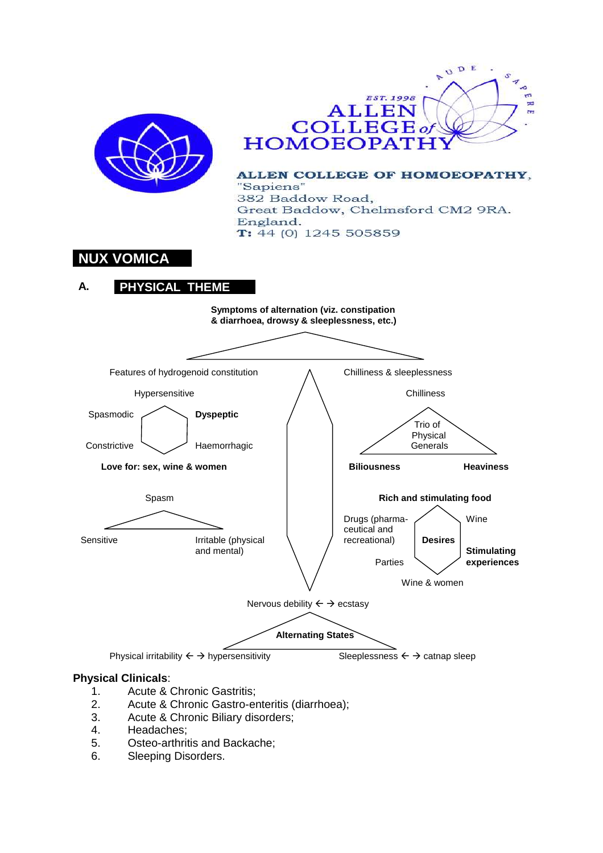

- 
- 1. Acute & Chronic Gastritis;<br>2. Acute & Chronic Gastro-er Acute & Chronic Gastro-enteritis (diarrhoea);
- 3. Acute & Chronic Biliary disorders;
- 4. Headaches;
- 5. Osteo-arthritis and Backache;
- 6. Sleeping Disorders.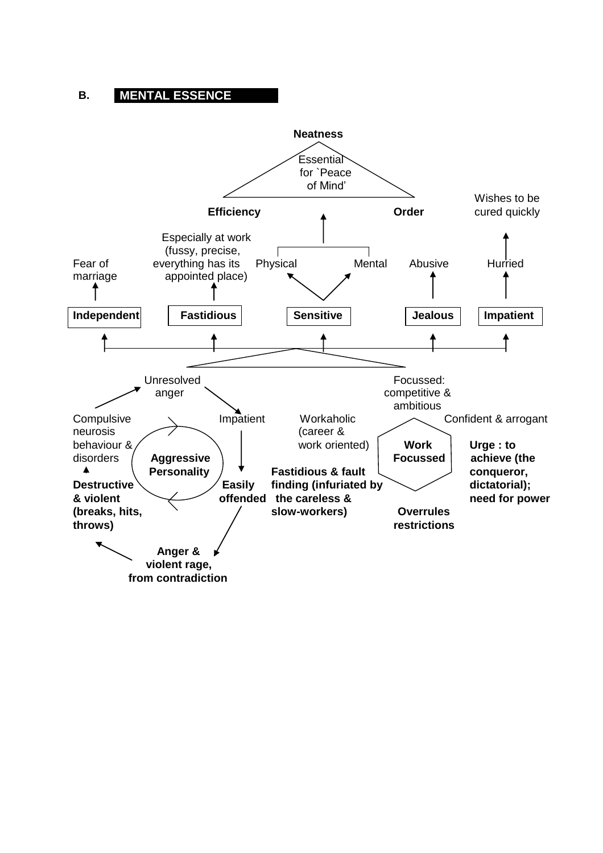# **B. MENTAL ESSENCE**

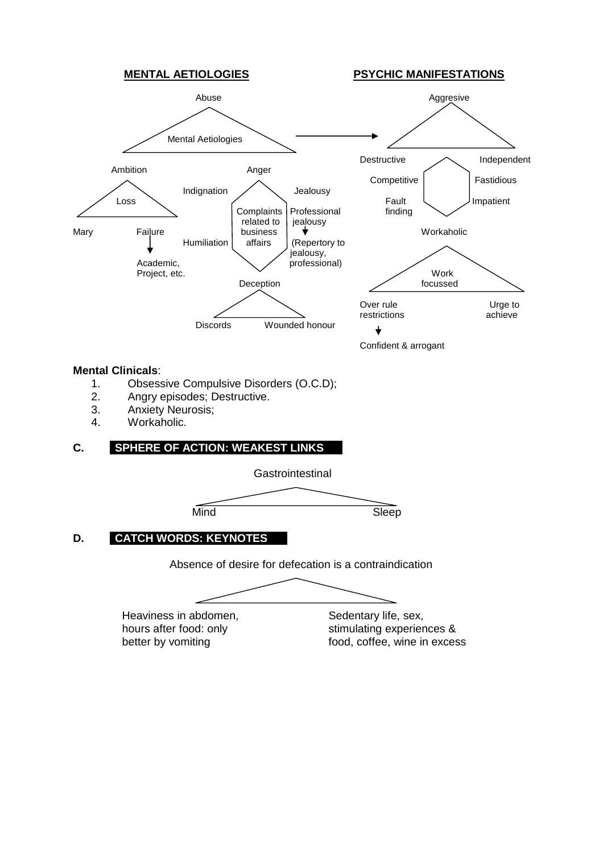

- 1. Obsessive Compulsive Disorders (O.C.D);
- 2. Angry episodes; Destructive.<br>3. Anxiety Neurosis:
- Anxiety Neurosis;
- 4. Workaholic.

# **C. SPHERE OF ACTION: WEAKEST LINKS**

**Gastrointestinal** 

Mind Sleep

# **D. CATCH WORDS: KEYNOTES**

Absence of desire for defecation is a contraindication

Heaviness in abdomen, Sedentary life, sex,

hours after food: only stimulating experiences & better by vomiting food, coffee, wine in excess